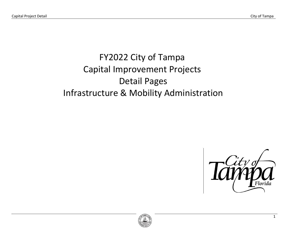# FY2022 City of Tampa Capital Improvement Projects Detail Pages Infrastructure & Mobility Administration